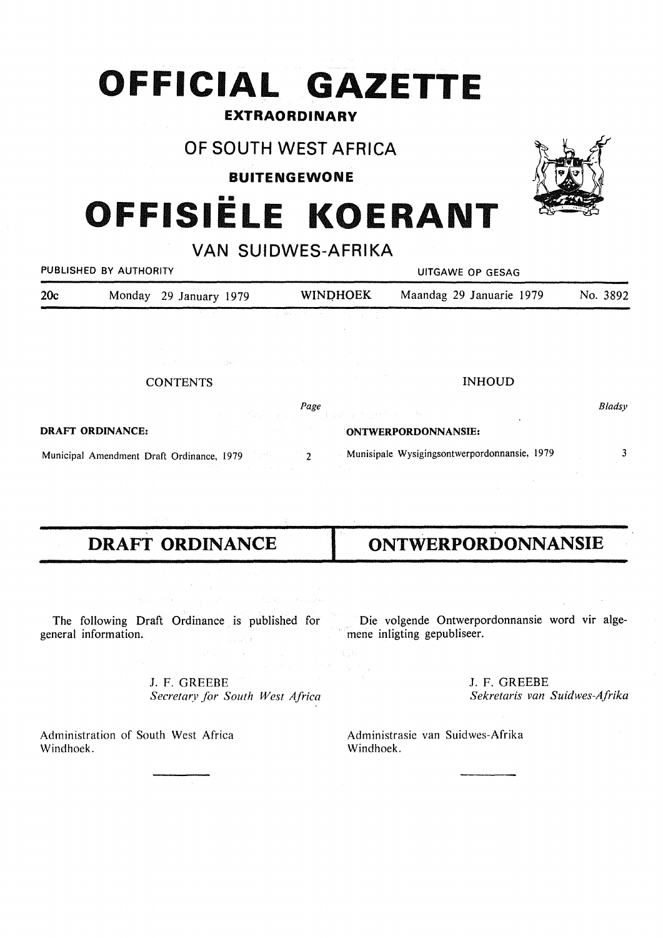# **OFFICIAL GAZETTE**

# **EXTRAORDINARY**

# OF SOUTH WEST AFRICA

**BUITENGEWONE** 

# OFFISIËLE KOERANT

VAN SUIDWES-AFRIKA

| PUBLISHED BY AUTHORITY |  |                        | UITGAWE OP GESAG       |                          |          |
|------------------------|--|------------------------|------------------------|--------------------------|----------|
| 20c                    |  | Monday 29 January 1979 | <b>WINDHOEK</b>        | Maandag 29 Januarie 1979 | No. 3892 |
|                        |  |                        | コンティー しょめい かいそう とうしょうむ |                          |          |

| <b>CONTENTS</b>                           |                                               | the control of the control of the con-<br><b>INHOUD</b>                                                                                                                                                                          |        |
|-------------------------------------------|-----------------------------------------------|----------------------------------------------------------------------------------------------------------------------------------------------------------------------------------------------------------------------------------|--------|
|                                           |                                               | $Page$ . The contract of the contract of the contract of the contract of the contract of the contract of the contract of the contract of the contract of the contract of the contract of the contract of the contract of the con | Bladsy |
| DRAFT ORDINANCE:                          | and the company of the company of the company | ONTWERPORDONNANSIE:                                                                                                                                                                                                              |        |
| Municipal Amendment Draft Ordinance, 1979 | and the company of the property of the        | Munisipale Wysigingsontwerpordonnansie, 1979<br>the contract of the contract of the contract of the contract of                                                                                                                  |        |

 $\label{eq:2.1} \frac{1}{\sqrt{2}}\left(\frac{1}{\sqrt{2}}\right)^2\frac{1}{2}\frac{1}{2}\frac{1}{2}\frac{1}{2}\frac{1}{2}\frac{1}{2}\frac{1}{2}\frac{1}{2}\frac{1}{2}\frac{1}{2}\frac{1}{2}\frac{1}{2}\frac{1}{2}\frac{1}{2}\frac{1}{2}\frac{1}{2}\frac{1}{2}\frac{1}{2}\frac{1}{2}\frac{1}{2}\frac{1}{2}\frac{1}{2}\frac{1}{2}\frac{1}{2}\frac{1}{2}\frac{1}{2}\frac{1}{2}\frac{1}{2}\frac{1}{2}\frac{1}{2}\frac{1}{$ 

The following Draft Ordinance is published for general information.  $\label{eq:1} \frac{1}{\sqrt{2}}\int_{\mathbb{R}^{2}}\frac{1}{\sqrt{2}}\int_{\mathbb{R}^{2}}\frac{1}{\sqrt{2}}\int_{\mathbb{R}^{2}}\frac{1}{\sqrt{2}}\int_{\mathbb{R}^{2}}\frac{1}{\sqrt{2}}\int_{\mathbb{R}^{2}}\frac{1}{\sqrt{2}}\int_{\mathbb{R}^{2}}\frac{1}{\sqrt{2}}\int_{\mathbb{R}^{2}}\frac{1}{\sqrt{2}}\int_{\mathbb{R}^{2}}\frac{1}{\sqrt{2}}\int_{\mathbb{R}^{2}}\frac{1}{\sqrt{2}}\int_{\math$ 

> J. F. GREEBE *Secretary for South West Africa*

Administration of South West Africa Windhoek.

# **DRAFT ORDINANCE** I **ONTWERPORDONNANSIE**

Die volgende Ontwerpordonnansie word vir algemene inligting gepubliseer.

> J. F. GREEBE *Sekretaris van Suidwes-Afrika*

Administrasie van Suidwes-Afrika Windhoek.

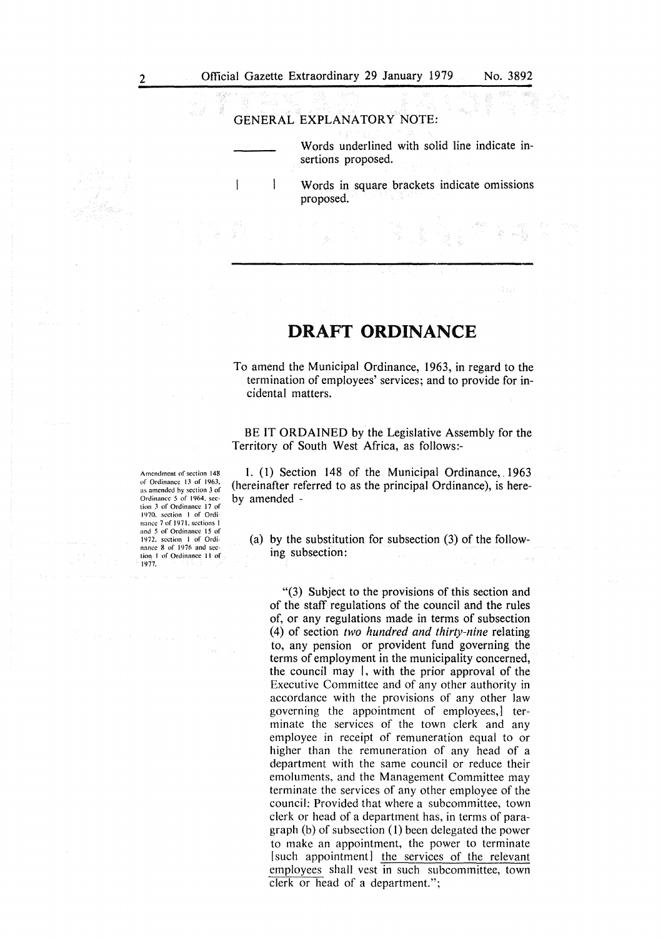### GENERAL EXPLANATORY NOTE:

Words underlined with solid line indicate insertions proposed.

 $\mathbf{I}$ Words in square brackets indicate omissions proposed.

# **DRAFT ORDINANCE**

To amend the Municipal Ordinance, 1963, in regard to the termination of employees' services; and to provide for incidental matters.

BE IT ORDAINED by the Legislative Assembly for the Territory of South West Africa, as follows:-

1. (I) Section 148 of the Municipal Ordinance, 1963 (hereinafter referred to as the principal Ordinance), is hereby amended -

(a) by the substitution for subsection (3) of the following subsection:

"(3) Subject to the provisions of this section and of the staff regulations of the council and the rules of, or any regulations made in terms of subsection (4) of section *two hundred and thirty-nine* relating to, any pension or provident fund governing the terms of employment in the municipality concerned, the council may I, with the prior approval of the Executive Committee and of any other authority in accordance with the provisions of any other law governing the appointment of employees,] terminate the services of the town clerk and any employee in receipt of remuneration equal to or higher than the remuneration of any head of a department with the same council or reduce their emoluments, and the Management Committee may terminate the services of any other employee of the council: Provided that where a subcommittee, town clerk or head of a department has, in terms of paragraph (b) of subsection (1) been delegated the power to make an appointment, the power to terminate [such appointment] the services of the relevant employees shall vest in such subcommittee, town clerk or head of a department.";

Amendment of section 148 or Ordinance IJ or 1963. as amended by section 3 of Ordinance 5 of 1964, section .3 of Ordinance 17 of 1970. section I of Ordi· nance 7 of 1971, sections 1 and 5 of Ordinance 15 of 1972. section I or Ordinance 8 of 1976 and seclion I of Ordinance 11 of 1977.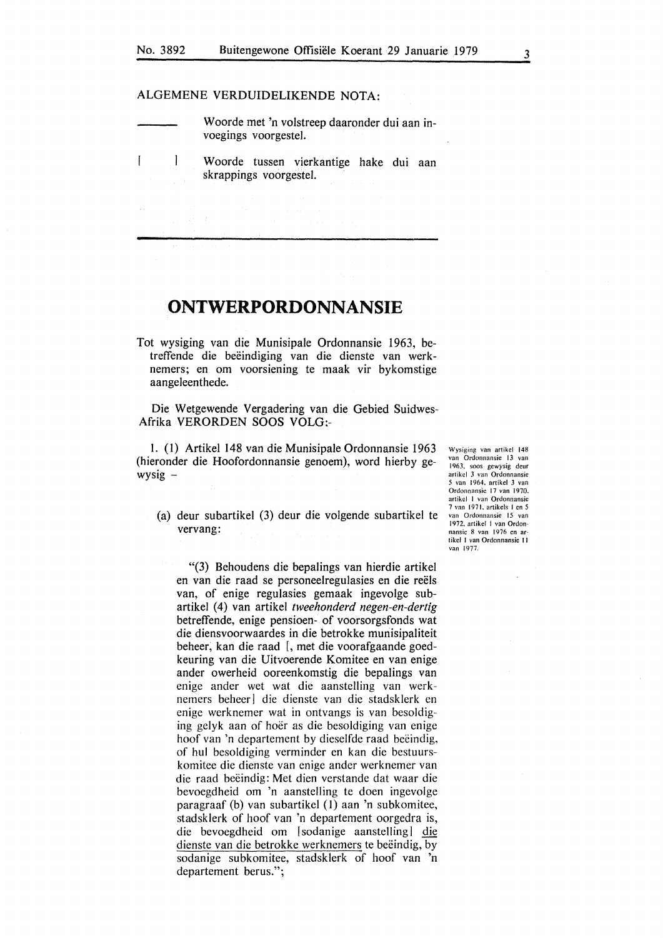### ALGEMENE VERDUIDELIKENDE NOTA:

1

 $\overline{1}$ 

Woorde met 'n volstreep daaronder dui aan invoegings voorgestel.

W oorde tussen vierkantige hake dui aan skrappings voorgestel.

## **ONTWERPORDONNANSIE**

Tot wysiging van die Munisipale Ordonnansie 1963, betreffende die beëindiging van die dienste van werknemers; en om voorsiening te maak vir bykomstige aangeleenthede.

Die Wetgewende Vergadering van die Gebied Suidwes-Afrika VERORDEN SOOS VOLG:-

1. (1) Artikel 148 van die Munisipale Ordonnansie 1963 (hieronder die Hoofordonnansie genoem), word hierby gewysig -

(a) deur subartikel (3) deur die volgende subartikel te vervang:

"(3) Behoudens die bepalings van hierdie artikel en van die raad se personeelregulasies en die reels van, of enige regulasies gemaak ingevolge subartikel (4) van artikel *tweehonderd negen-en-dertig*  betreffende, enige pensioen- of voorsorgsfonds wat die diensvoorwaardes in die betrokke munisipaliteit beheer, kan die raad [, met die voorafgaande goedkeuring van die Uitvoerende Komitee en van enige ander owerheid ooreenkomstig die bepalings van enige ander wet wat die aanstelling van werknemers beheer] die dienste van die stadsklerk en enige werknemer wat in ontvangs is van besoldiging gelyk aan of hoer as die besoldiging van enige hoof van 'n departement by dieselfde raad beëindig, of hul besoldiging verminder en kan die bestuurskomitee die dienste van enige ander werknemer van die raad beëindig: Met dien verstande dat waar die bevoegdheid om 'n aanstelling te doen ingevolge paragraaf (b) van subartikel (1) aan 'n subkomitee, stadsklerk of hoof van 'n departement oorgedra is, die bevoegdheid om [ sodanige aanstelling] die dienste van die betrokke werknemers te beëindig, by sodanige subkomitee, stadsklerk of hoof van 'n departement berus.";

Wysiging van artikel 148 van Ordonnansie 13 van 1963. soos gewysig deur artikcl *3* van Ordonnansie 5 van 1964. artikel 3 van Ordonnansic 17 van 1970, artikcl I van Ordonnansie 7 van 1971. arlikels I en 5 van Ordonnansic 15 van 1972. arlikel I van Ordon· nansie 8 van 1976 en arlikcl I van Ordonnansie <sup>11</sup> van 1977.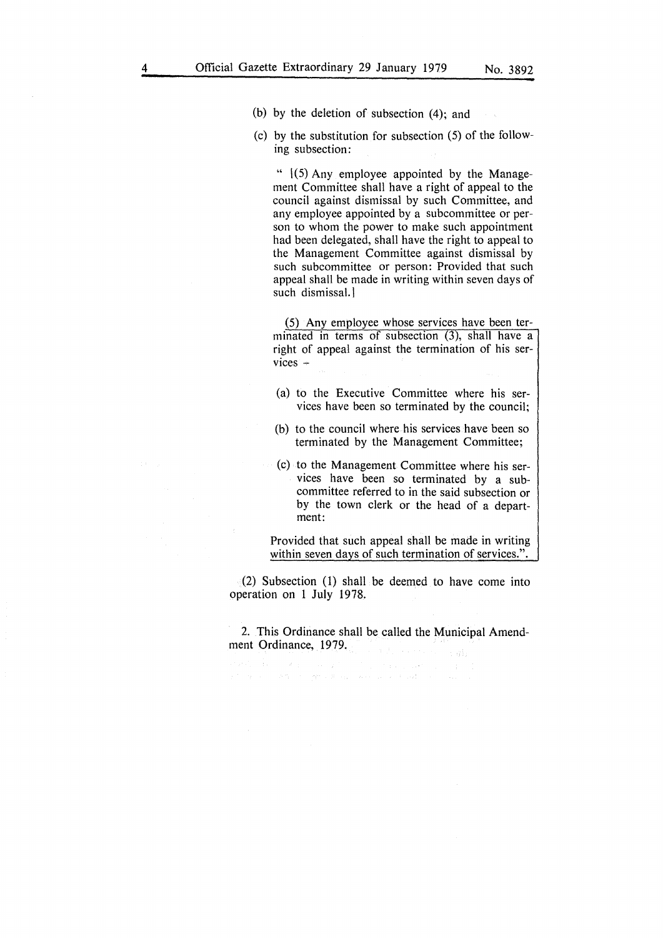- (b) by the deletion of subsection (4); and
- (c) by the substitution for subsection (5) of the following subsection:

" 1(5) Any employee appointed by the Management Committee shall have a right of appeal to the council against dismissal by such Committee, and any employee appointed by a subcommittee or person to whom the power to make such appointment had been delegated, shall have the right to appeal to the Management Committee against dismissal by such subcommittee or person: Provided that such appeal shall be made in writing within seven days of such dismissal. I

(5) Any employee whose services have been terminated in terms of subsection (3), shall have a right of appeal against the termination of his ser $vices -$ 

- (a) to the Executive Committee where his services have been so terminated by the council;
- (b) to the council where his services have been so terminated by the Management Committee;
- (c) to the Management Committee where his services have been so terminated by a subcommittee referred to in the said subsection or by the town clerk or the head of a department:

Provided that such appeal shall be made in writing within seven days of such termination of services.".

(2) Subsection (1) shall be deemed to have come into operation on 1 July 1978.

2. This Ordinance shall be called the Municipal Amendment Ordinance, 1979.

 $\label{eq:2.1} \begin{split} \mathcal{P}(\mathcal{A},\mathcal{A})&=\mathcal{P}(\mathcal{A},\mathcal{A})\mathcal{P}(\mathcal{A})\mathcal{P}(\mathcal{A})\mathcal{P}(\mathcal{A})\mathcal{P}(\mathcal{A})\mathcal{P}(\mathcal{A})\mathcal{P}(\mathcal{A})\mathcal{P}(\mathcal{A})\mathcal{P}(\mathcal{A})\mathcal{P}(\mathcal{A})\mathcal{P}(\mathcal{A})\mathcal{P}(\mathcal{A})\mathcal{P}(\mathcal{A})\mathcal{P}(\mathcal{A})\mathcal{P}(\mathcal{A})\$